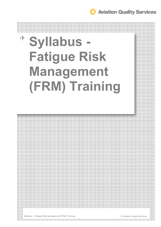**Aviation Quality Services** 

# **Syllabus - Fatigue Risk Management (FRM) Training**



the contract of the contract of the contract of the contract of the contract of the contract of the contract of

Syllabus – Fatigue Risk Management (FRM) Training **Community** Community Community Services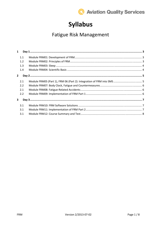

## **Syllabus**

## Fatigue Risk Management

| $\mathbf{1}$   |     |  |
|----------------|-----|--|
|                | 1.1 |  |
|                | 1.2 |  |
|                | 1.3 |  |
|                | 1.4 |  |
| $\overline{2}$ |     |  |
|                | 2.1 |  |
|                | 2.2 |  |
|                | 2.1 |  |
|                | 2.2 |  |
| 3              |     |  |
|                | 3.1 |  |
|                | 3.1 |  |
|                | 3.1 |  |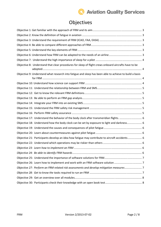## **C** Aviation Quality Services

## Objectives

| Objective 8: Understand that clear procedures for sleep of flight crews onboard aircrafts have to be   |  |
|--------------------------------------------------------------------------------------------------------|--|
|                                                                                                        |  |
| Objective 9: Understand what research into fatigue and sleep has been able to achieve to build a basis |  |
|                                                                                                        |  |
|                                                                                                        |  |
|                                                                                                        |  |
|                                                                                                        |  |
|                                                                                                        |  |
|                                                                                                        |  |
|                                                                                                        |  |
| Objective 17: Understand the behavior of the body clock after transmeridian flights.  6                |  |
| Objective 18: Understand how the body clock can be set by exposure to light and darkness 6             |  |
|                                                                                                        |  |
|                                                                                                        |  |
| Objective 21: Participants develop an idea how fatigue may contribute to aircraft accidents 6          |  |
|                                                                                                        |  |
|                                                                                                        |  |
|                                                                                                        |  |
|                                                                                                        |  |
|                                                                                                        |  |
| Objective 27: Perform an FRM related risk assessments and develop mitigation measures7                 |  |
|                                                                                                        |  |
|                                                                                                        |  |
|                                                                                                        |  |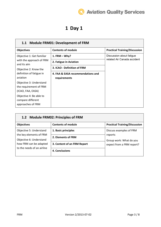

## **1 Day 1**

#### **1.1 Module FRM01: Development of FRM**

| <b>Objectives</b>                                                 | <b>Contents of module</b>         | <b>Practical Training/Discussion</b>                    |
|-------------------------------------------------------------------|-----------------------------------|---------------------------------------------------------|
| Objective 1: Get familiar                                         | 1. $FRM - Why?$                   | Discussion about fatigue<br>related Air Canada accident |
| with the approach of FRM<br>and its aim                           | 2. Fatigue in Aviation            |                                                         |
| Objective 2: Know the                                             | 3. ICAO - Definition of FRM       |                                                         |
| definition of fatigue in                                          | 4. FAA & EASA recommendations and |                                                         |
| aviation                                                          | requirements                      |                                                         |
| Objective 3: Understand                                           |                                   |                                                         |
| the requirement of FRM                                            |                                   |                                                         |
| (ICAO, FAA, EASA)                                                 |                                   |                                                         |
| Objective 4: Be able to<br>compare different<br>approaches of FRM |                                   |                                                         |

| 1.2 Module FRM02: Principles of FRM                                                                                                   |                                                                                            |                                                                                            |  |
|---------------------------------------------------------------------------------------------------------------------------------------|--------------------------------------------------------------------------------------------|--------------------------------------------------------------------------------------------|--|
| <b>Objectives</b>                                                                                                                     | <b>Contents of module</b>                                                                  | <b>Practical Training/Discussion</b>                                                       |  |
| Objective 5: Understand<br>the key elements of FRM<br>Objective 6: Understand<br>how FRM can be adapted<br>to the needs of an airline | 1. Basic principles<br>2. Elements of FRM<br>3. Content of an FRM Report<br>4. Conclusions | Discuss examples of FRM<br>reports<br>Group work: What do you<br>expect from a FRM report? |  |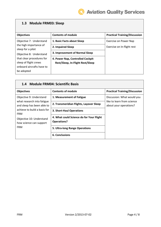#### **1.3 Module FRM03: Sleep**

| <b>Objectives</b>                           | <b>Contents of module</b>        | <b>Practical Training/Discussion</b> |
|---------------------------------------------|----------------------------------|--------------------------------------|
| Objective 7: Understand                     | 1. Basic Facts about Sleep       | Exercise on Power Nap                |
| the high importance of<br>sleep for a pilot | 2. Impaired Sleep                | Exercise on In-flight rest           |
| Objective 8: Understand                     | 3. Improvement of Normal Sleep   |                                      |
| that clear procedures for                   | 4. Power Nap, Controlled Cockpit |                                      |
| sleep of flight crews                       | Rest/Sleep, In-Flight Rest/Sleep |                                      |
| onboard aircrafts have to                   |                                  |                                      |
| be adopted                                  |                                  |                                      |

| <b>Module FRM04: Scientific Basis</b><br>1.4             |                                                                |                                                      |  |  |
|----------------------------------------------------------|----------------------------------------------------------------|------------------------------------------------------|--|--|
| <b>Objectives</b>                                        | <b>Contents of module</b>                                      | <b>Practical Training/Discussion</b>                 |  |  |
| Objective 9: Understand                                  | 1. Measurement of Fatigue                                      | Discussion: What would you                           |  |  |
| what research into fatigue<br>and sleep has been able to | 2. Transmeridian Flights, Layover Sleep                        | like to learn from science<br>about your operations? |  |  |
| achieve to build a basis for<br><b>FRM</b>               | 3. Short-Haul Operations                                       |                                                      |  |  |
| Objective 10: Understand<br>how science can support      | 4. What could Science do for Your Flight<br><b>Operations?</b> |                                                      |  |  |
| <b>FRM</b>                                               | 5. Ultra-long Range Operations                                 |                                                      |  |  |
|                                                          | <b>6. Conclusions</b>                                          |                                                      |  |  |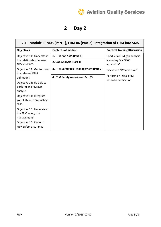

٦

## **2 Day 2**

| 2.1 Module FRM05 (Part 1), FRM 06 (Part 2): Integration of FRM into SMS |                                        |                                                                                              |  |  |
|-------------------------------------------------------------------------|----------------------------------------|----------------------------------------------------------------------------------------------|--|--|
| <b>Objectives</b>                                                       | <b>Contents of module</b>              | <b>Practical Training/Discussion</b>                                                         |  |  |
| Objective 11: Understand                                                | 1. FRM and SMS (Part 1)                | Conduct a FRM gap analysis<br>according Doc 9966<br>appendix C<br>Discussion "What is risk?" |  |  |
| the relationship between<br><b>FRM and SMS</b>                          | 2. Gap Analysis (Part 1)               |                                                                                              |  |  |
| Objective 12: Get to know<br>the relevant FRM                           | 3. FRM Safety Risk Management (Part 2) |                                                                                              |  |  |
| definitions                                                             | 4. FRM Safety Assurance (Part 2)       | Perform an initial FRM<br>hazard identification                                              |  |  |
| Objective 13: Be able to<br>perform an FRM gap<br>analysis              |                                        |                                                                                              |  |  |
| Objective 14: Integrate<br>your FRM into an existing<br><b>SMS</b>      |                                        |                                                                                              |  |  |
| Objective 15: Understand<br>the FRM safety risk<br>management           |                                        |                                                                                              |  |  |
| Objective 16: Perform<br>FRM safety assurance                           |                                        |                                                                                              |  |  |

 $\Gamma$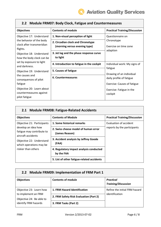| <b>Objectives</b>                                     | <b>Contents of module</b>                 | <b>Practical Training/Discussion</b> |
|-------------------------------------------------------|-------------------------------------------|--------------------------------------|
| Objective 17: Understand                              | 1. Non-visual perception of light         | Questionnaire on                     |
| the behavior of the body<br>clock after transmeridian | 2. Circadian clock and Chronotype         | Chronotype                           |
| flights.                                              | (morning versus evening type)             | Exercise on time zone                |
| Objective 18: Understand                              | 3. Jet lag and the phase response curve   | adaption                             |
| how the body clock can be                             | to light                                  |                                      |
| set by exposure to light<br>and darkness.             | 4. Introduction to fatigue in the cockpit | Individual work: My signs of         |
| Objective 19: Understand                              | 5. Causes of fatigue                      | fatigue                              |
| the causes and                                        | 6. Countermeasures                        | Drawing of an individual             |
| consequences of pilot                                 |                                           | daily profile of fatigue             |
| fatigue                                               |                                           | Exercise: Causes of fatigue          |
| Objective 20: Learn about                             |                                           | Exercise: Fatigue in the             |
| countermeasures against                               |                                           | cockpit                              |
| pilot fatigue                                         |                                           |                                      |

#### **2.2 Module FRM07: Body Clock, Fatigue and Countermeasures**

| 2.1 Module FRM08: Fatigue-Related Accidents                            |                                                        |                                                       |  |  |
|------------------------------------------------------------------------|--------------------------------------------------------|-------------------------------------------------------|--|--|
| <b>Objectives</b>                                                      | <b>Contents of Module</b>                              | <b>Practical Training/Discussion</b>                  |  |  |
| Objective 21: Participants                                             | 1. Some historical remarks                             | Evaluation of accident<br>reports by the participants |  |  |
| develop an idea how<br>fatigue may contribute to<br>aircraft accidents | 2. Swiss cheese model of human error<br>(James Reason) |                                                       |  |  |
| Objective 22: Understand<br>which operations may be                    | 3. Accident analysis by Jeffrey Goode<br>(FAA)         |                                                       |  |  |
| riskier than others                                                    | 4. Regulatory impact analysis conducted<br>by the FAA  |                                                       |  |  |
|                                                                        | 5. List of other fatigue-related accidents             |                                                       |  |  |

#### **2.2 Module FRM09: Implementation of FRM Part 1**

| <b>Objectives</b>                               | <b>Contents of module</b>              | <b>Practical</b><br><b>Training/Discussion</b>  |
|-------------------------------------------------|----------------------------------------|-------------------------------------------------|
| Objective 23: Learn how                         | 1. FRM Hazard Identification           | Refine the initial FRM hazard<br>identification |
| to implement an FRM<br>Objective 24: Be able to | 2. FRM Safety Risk Evaluation (Part 2) |                                                 |
| identify FRM hazards                            | 3. FRM Tasks (Part 2)                  |                                                 |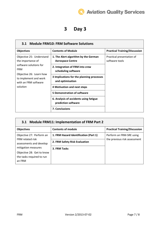## **Q** Aviation Quality Services

## **3 Day 3**

| <b>Module FRM10: FRM Software Solutions</b><br>3.1                       |                                                                 |                                             |  |  |
|--------------------------------------------------------------------------|-----------------------------------------------------------------|---------------------------------------------|--|--|
| <b>Objectives</b>                                                        | <b>Contents of Module</b>                                       | <b>Practical Training/Discussion</b>        |  |  |
| Objective 25: Understand<br>the importance of                            | 1. The Alert algorithm by the German<br><b>Aerospace Centre</b> | Practical presentation of<br>software tools |  |  |
| software solutions for<br><b>FRM</b>                                     | 2. Integration of FRM into crew<br>scheduling software          |                                             |  |  |
| Objective 26: Learn how<br>to implement and work<br>with an FRM software | 3 Implications for the planning processes<br>and optimisation   |                                             |  |  |
| solution                                                                 | 4 Motivation and next steps                                     |                                             |  |  |
|                                                                          | <b>5 Demonstration of software</b>                              |                                             |  |  |
|                                                                          | 6. Analysis of accidents using fatigue<br>prediction software   |                                             |  |  |
|                                                                          | <b>7. Conclusions</b>                                           |                                             |  |  |

#### **3.1 Module FRM11: Implementation of FRM Part 2**

| <b>Objectives</b>                           | <b>Contents of module</b>             | <b>Practical Training/Discussion</b> |
|---------------------------------------------|---------------------------------------|--------------------------------------|
| Objective 27: Perform an                    | 1. FRM Hazard Identification (Part 1) | Perform an FRM-SRE using             |
| FRM related risk<br>assessments and develop | 2. FRM Safety Risk Evaluation         | the previous risk assessment         |
| mitigation measures                         | 3. FRM Tasks                          |                                      |
| Objective 28: Get to know                   |                                       |                                      |
| the tasks required to run<br>an FRM         |                                       |                                      |